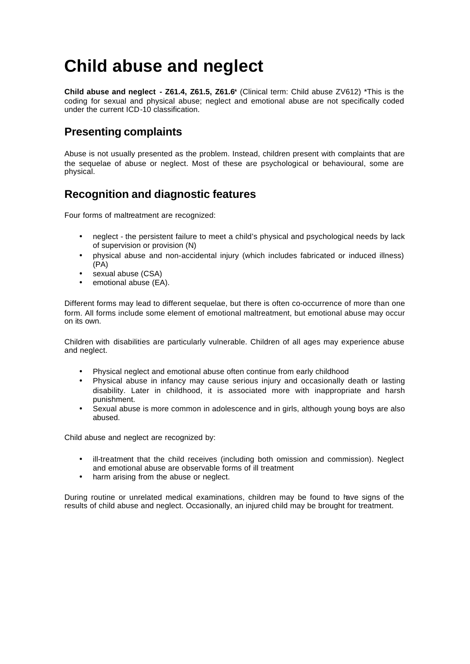# **Child abuse and neglect**

**Child abuse and neglect - Z61.4, Z61.5, Z61.6**\* (Clinical term: Child abuse ZV612) \*This is the coding for sexual and physical abuse; neglect and emotional abuse are not specifically coded under the current ICD-10 classification.

# **Presenting complaints**

Abuse is not usually presented as the problem. Instead, children present with complaints that are the sequelae of abuse or neglect. Most of these are psychological or behavioural, some are physical.

# **Recognition and diagnostic features**

Four forms of maltreatment are recognized:

- neglect the persistent failure to meet a child's physical and psychological needs by lack of supervision or provision (N)
- physical abuse and non-accidental injury (which includes fabricated or induced illness) (PA)
- sexual abuse (CSA)
- emotional abuse (EA).

Different forms may lead to different sequelae, but there is often co-occurrence of more than one form. All forms include some element of emotional maltreatment, but emotional abuse may occur on its own.

Children with disabilities are particularly vulnerable. Children of all ages may experience abuse and neglect.

- Physical neglect and emotional abuse often continue from early childhood
- Physical abuse in infancy may cause serious injury and occasionally death or lasting disability. Later in childhood, it is associated more with inappropriate and harsh punishment.
- Sexual abuse is more common in adolescence and in girls, although young boys are also abused.

Child abuse and neglect are recognized by:

- ill-treatment that the child receives (including both omission and commission). Neglect and emotional abuse are observable forms of ill treatment
- harm arising from the abuse or neglect.

During routine or unrelated medical examinations, children may be found to have signs of the results of child abuse and neglect. Occasionally, an injured child may be brought for treatment.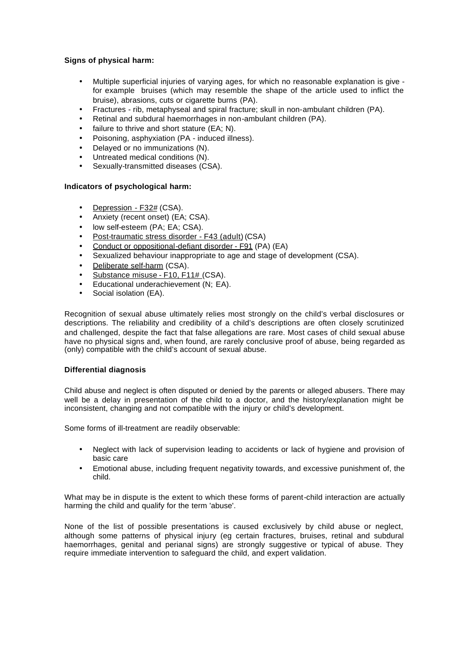#### **Signs of physical harm:**

- Multiple superficial injuries of varying ages, for which no reasonable explanation is give for example bruises (which may resemble the shape of the article used to inflict the bruise), abrasions, cuts or cigarette burns (PA).
- Fractures rib, metaphyseal and spiral fracture; skull in non-ambulant children (PA).
- Retinal and subdural haemorrhages in non-ambulant children (PA).
- failure to thrive and short stature (EA; N).
- Poisoning, asphyxiation (PA induced illness).
- Delayed or no immunizations (N).
- Untreated medical conditions (N).
- Sexually-transmitted diseases (CSA).

#### **Indicators of psychological harm:**

- Depression F32# (CSA).
- Anxiety (recent onset) (EA; CSA).
- low self-esteem (PA; EA; CSA).
- Post-traumatic stress disorder F43 (adult) (CSA)
- Conduct or oppositional-defiant disorder F91 (PA) (EA)
- Sexualized behaviour inappropriate to age and stage of development (CSA).
- Deliberate self-harm (CSA).
- Substance misuse F10, F11# (CSA).
- Educational underachievement (N; EA).
- Social isolation (EA).

Recognition of sexual abuse ultimately relies most strongly on the child's verbal disclosures or descriptions. The reliability and credibility of a child's descriptions are often closely scrutinized and challenged, despite the fact that false allegations are rare. Most cases of child sexual abuse have no physical signs and, when found, are rarely conclusive proof of abuse, being regarded as (only) compatible with the child's account of sexual abuse.

### **Differential diagnosis**

Child abuse and neglect is often disputed or denied by the parents or alleged abusers. There may well be a delay in presentation of the child to a doctor, and the history/explanation might be inconsistent, changing and not compatible with the injury or child's development.

Some forms of ill-treatment are readily observable:

- Neglect with lack of supervision leading to accidents or lack of hygiene and provision of basic care
- Emotional abuse, including frequent negativity towards, and excessive punishment of, the child.

What may be in dispute is the extent to which these forms of parent-child interaction are actually harming the child and qualify for the term 'abuse'.

None of the list of possible presentations is caused exclusively by child abuse or neglect, although some patterns of physical injury (eg certain fractures, bruises, retinal and subdural haemorrhages, genital and perianal signs) are strongly suggestive or typical of abuse. They require immediate intervention to safeguard the child, and expert validation.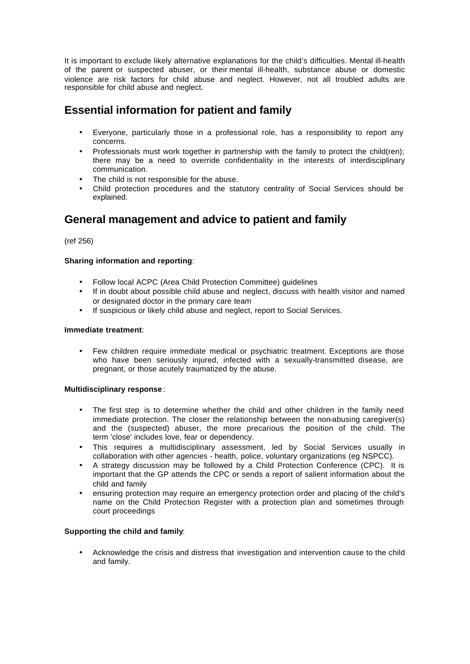It is important to exclude likely alternative explanations for the child's difficulties. Mental ill-health of the parent or suspected abuser, or their mental ill-health, substance abuse or domestic violence are risk factors for child abuse and neglect. However, not all troubled adults are responsible for child abuse and neglect.

# **Essential information for patient and family**

- Everyone, particularly those in a professional role, has a responsibility to report any concerns.
- Professionals must work together in partnership with the family to protect the child(ren); there may be a need to override confidentiality in the interests of interdisciplinary communication.
- The child is not responsible for the abuse.
- Child protection procedures and the statutory centrality of Social Services should be explained.

# **General management and advice to patient and family**

(ref 256)

### **Sharing information and reporting**:

- Follow local ACPC (Area Child Protection Committee) guidelines
- If in doubt about possible child abuse and neglect, discuss with health visitor and named or designated doctor in the primary care team
- If suspicious or likely child abuse and neglect, report to Social Services.

#### **Immediate treatment**:

Few children require immediate medical or psychiatric treatment. Exceptions are those who have been seriously injured, infected with a sexually-transmitted disease, are pregnant, or those acutely traumatized by the abuse.

### **Multidisciplinary response** :

- The first step is to determine whether the child and other children in the family need immediate protection. The closer the relationship between the non-abusing caregiver(s) and the (suspected) abuser, the more precarious the position of the child. The term 'close' includes love, fear or dependency.
- This requires a multidisciplinary assessment, led by Social Services usually in collaboration with other agencies - health, police, voluntary organizations (eg NSPCC).
- A strategy discussion may be followed by a Child Protection Conference (CPC). It is important that the GP attends the CPC or sends a report of salient information about the child and family
- ensuring protection may require an emergency protection order and placing of the child's name on the Child Protection Register with a protection plan and sometimes through court proceedings

### **Supporting the child and family**:

• Acknowledge the crisis and distress that investigation and intervention cause to the child and family.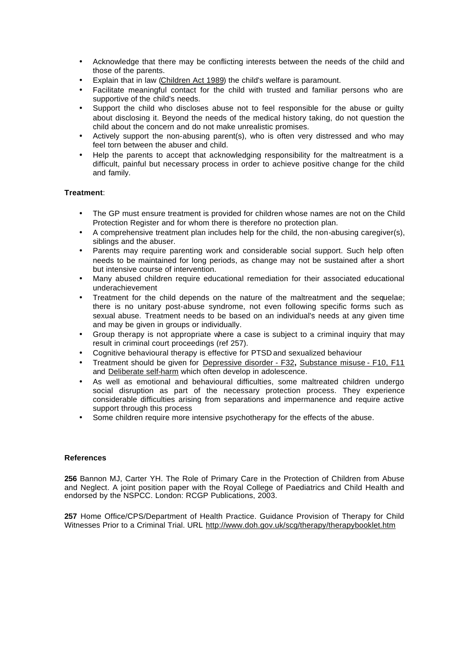- Acknowledge that there may be conflicting interests between the needs of the child and those of the parents.
- Explain that in law (Children Act 1989) the child's welfare is paramount.
- Facilitate meaningful contact for the child with trusted and familiar persons who are supportive of the child's needs.
- Support the child who discloses abuse not to feel responsible for the abuse or guilty about disclosing it. Beyond the needs of the medical history taking, do not question the child about the concern and do not make unrealistic promises.
- Actively support the non-abusing parent(s), who is often very distressed and who may feel torn between the abuser and child.
- Help the parents to accept that acknowledging responsibility for the maltreatment is a difficult, painful but necessary process in order to achieve positive change for the child and family.

#### **Treatment**:

- The GP must ensure treatment is provided for children whose names are not on the Child Protection Register and for whom there is therefore no protection plan.
- A comprehensive treatment plan includes help for the child, the non-abusing caregiver(s), siblings and the abuser.
- Parents may require parenting work and considerable social support. Such help often needs to be maintained for long periods, as change may not be sustained after a short but intensive course of intervention.
- Many abused children require educational remediation for their associated educational underachievement
- Treatment for the child depends on the nature of the maltreatment and the sequelae; there is no unitary post-abuse syndrome, not even following specific forms such as sexual abuse. Treatment needs to be based on an individual's needs at any given time and may be given in groups or individually.
- Group therapy is not appropriate where a case is subject to a criminal inquiry that may result in criminal court proceedings (ref 257).
- Cognitive behavioural therapy is effective for PTSD and sexualized behaviour
- Treatment should be given for Depressive disorder F32**,** Substance misuse F10, F11 and Deliberate self-harm which often develop in adolescence.
- As well as emotional and behavioural difficulties, some maltreated children undergo social disruption as part of the necessary protection process. They experience considerable difficulties arising from separations and impermanence and require active support through this process
- Some children require more intensive psychotherapy for the effects of the abuse.

#### **References**

**256** Bannon MJ, Carter YH. The Role of Primary Care in the Protection of Children from Abuse and Neglect. A joint position paper with the Royal College of Paediatrics and Child Health and endorsed by the NSPCC. London: RCGP Publications, 2003.

**257** Home Office/CPS/Department of Health Practice. Guidance Provision of Therapy for Child Witnesses Prior to a Criminal Trial. URL http://www.doh.gov.uk/scg/therapy/therapybooklet.htm